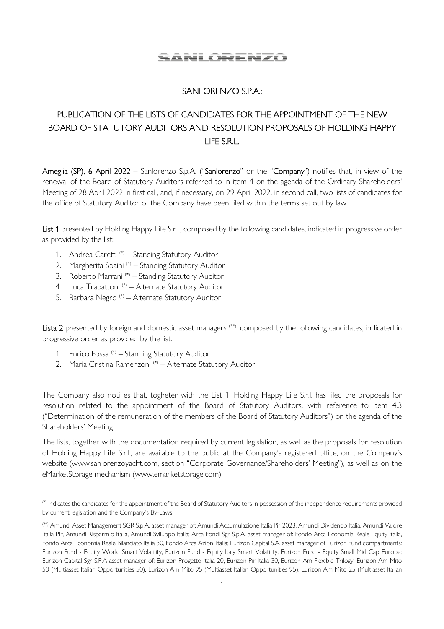# SANLORENZO

### SANLORENZO S.P.A.:

## PUBLICATION OF THE LISTS OF CANDIDATES FOR THE APPOINTMENT OF THE NEW BOARD OF STATUTORY AUDITORS AND RESOLUTION PROPOSALS OF HOLDING HAPPY LIFE S.R.L.

Ameglia (SP), 6 April 2022 – Sanlorenzo S.p.A. ("Sanlorenzo" or the "Company") notifies that, in view of the renewal of the Board of Statutory Auditors referred to in item 4 on the agenda of the Ordinary Shareholders' Meeting of 28 April 2022 in first call, and, if necessary, on 29 April 2022, in second call, two lists of candidates for the office of Statutory Auditor of the Company have been filed within the terms set out by law.

List 1 presented by Holding Happy Life S.r.l., composed by the following candidates, indicated in progressive order as provided by the list:

- 1. Andrea Caretti (\*) Standing Statutory Auditor
- 2. Margherita Spaini<sup>(\*)</sup> Standing Statutory Auditor
- 3. Roberto Marrani<sup>(\*)</sup> Standing Statutory Auditor
- 4. Luca Trabattoni (\*) Alternate Statutory Auditor
- 5. Barbara Negro (\*) Alternate Statutory Auditor

Lista 2 presented by foreign and domestic asset managers <sup>(\*\*)</sup>, composed by the following candidates, indicated in progressive order as provided by the list:

- 1. Enrico Fossa (\*) Standing Statutory Auditor
- 2. Maria Cristina Ramenzoni<sup>(\*)</sup> Alternate Statutory Auditor

The Company also notifies that, togheter with the List 1, Holding Happy Life S.r.l. has filed the proposals for resolution related to the appointment of the Board of Statutory Auditors, with reference to item 4.3 ("Determination of the remuneration of the members of the Board of Statutory Auditors") on the agenda of the Shareholders' Meeting.

The lists, together with the documentation required by current legislation, as well as the proposals for resolution of Holding Happy Life S.r.l., are available to the public at the Company's registered office, on the Company's website (www.sanlorenzoyacht.com, section "Corporate Governance/Shareholders' Meeting"), as well as on the eMarketStorage mechanism (www.emarketstorage.com).

(\*) Indicates the candidates for the appointment of the Board of Statutory Auditors in possession of the independence requirements provided by current legislation and the Company's By-Laws.

<sup>(\*\*)</sup> Amundi Asset Management SGR S.p.A. asset manager of: Amundi Accumulazione Italia Pir 2023, Amundi Dividendo Italia, Amundi Valore Italia Pir, Amundi Risparmio Italia, Amundi Sviluppo Italia; Arca Fondi Sgr S.p.A. asset manager of: Fondo Arca Economia Reale Equity Italia, Fondo Arca Economia Reale Bilanciato Italia 30, Fondo Arca Azioni Italia; Eurizon Capital S.A. asset manager of Eurizon Fund compartments: Eurizon Fund - Equity World Smart Volatility, Eurizon Fund - Equity Italy Smart Volatility, Eurizon Fund - Equity Small Mid Cap Europe; Eurizon Capital Sgr S.P.A asset manager of: Eurizon Progetto Italia 20, Eurizon Pir Italia 30, Eurizon Am Flexible Trilogy, Eurizon Am Mito 50 (Multiasset Italian Opportunities 50), Eurizon Am Mito 95 (Multiasset Italian Opportunities 95), Eurizon Am Mito 25 (Multiasset Italian